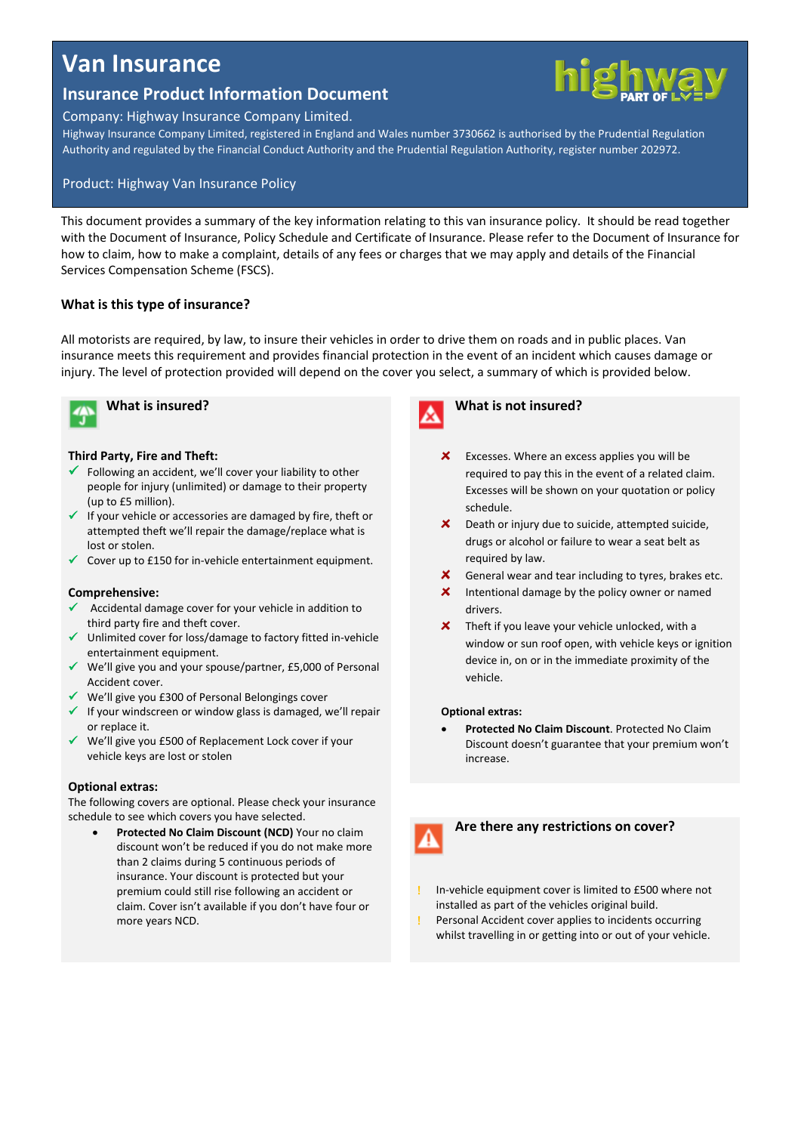# **Van Insurance**

## **Insurance Product Information Document**

## Company: Highway Insurance Company Limited.

Highway Insurance Company Limited, registered in England and Wales number 3730662 is authorised by the Prudential Regulation Authority and regulated by the Financial Conduct Authority and the Prudential Regulation Authority, register number 202972.

## Product: Highway Van Insurance Policy

This document provides a summary of the key information relating to this van insurance policy. It should be read together with the Document of Insurance, Policy Schedule and Certificate of Insurance. Please refer to the Document of Insurance for how to claim, how to make a complaint, details of any fees or charges that we may apply and details of the Financial Services Compensation Scheme (FSCS).

## **What is this type of insurance?**

All motorists are required, by law, to insure their vehicles in order to drive them on roads and in public places. Van insurance meets this requirement and provides financial protection in the event of an incident which causes damage or injury. The level of protection provided will depend on the cover you select, a summary of which is provided below.



**What is insured?**

## **Third Party, Fire and Theft:**

- $\checkmark$  Following an accident, we'll cover your liability to other people for injury (unlimited) or damage to their property (up to £5 million).
- $\checkmark$  If your vehicle or accessories are damaged by fire, theft or attempted theft we'll repair the damage/replace what is lost or stolen.
- $\checkmark$  Cover up to £150 for in-vehicle entertainment equipment.

#### **Comprehensive:**

- Accidental damage cover for your vehicle in addition to third party fire and theft cover.
- $\checkmark$  Unlimited cover for loss/damage to factory fitted in-vehicle entertainment equipment.
- $\checkmark$  We'll give you and your spouse/partner, £5,000 of Personal Accident cover.
- We'll give you £300 of Personal Belongings cover
- $\checkmark$  If your windscreen or window glass is damaged, we'll repair or replace it.
- We'll give you £500 of Replacement Lock cover if your vehicle keys are lost or stolen

#### **Optional extras:**

The following covers are optional. Please check your insurance schedule to see which covers you have selected.

 **Protected No Claim Discount (NCD)** Your no claim discount won't be reduced if you do not make more than 2 claims during 5 continuous periods of insurance. Your discount is protected but your premium could still rise following an accident or claim. Cover isn't available if you don't have four or more years NCD.



## **What is not insured?**

- $\boldsymbol{\mathsf{x}}$ Excesses. Where an excess applies you will be required to pay this in the event of a related claim. Excesses will be shown on your quotation or policy schedule.
- $\mathsf{x}^-$ Death or injury due to suicide, attempted suicide, drugs or alcohol or failure to wear a seat belt as required by law.
- $\mathbf{x}$ General wear and tear including to tyres, brakes etc.
- Intentional damage by the policy owner or named  $\boldsymbol{\mathsf{x}}$ drivers.
- $\boldsymbol{\mathsf{x}}$ Theft if you leave your vehicle unlocked, with a window or sun roof open, with vehicle keys or ignition device in, on or in the immediate proximity of the vehicle.

#### **Optional extras:**

 **Protected No Claim Discount**. Protected No Claim Discount doesn't guarantee that your premium won't increase.



## **Are there any restrictions on cover?**

- In-vehicle equipment cover is limited to £500 where not installed as part of the vehicles original build.
- Personal Accident cover applies to incidents occurring whilst travelling in or getting into or out of your vehicle.